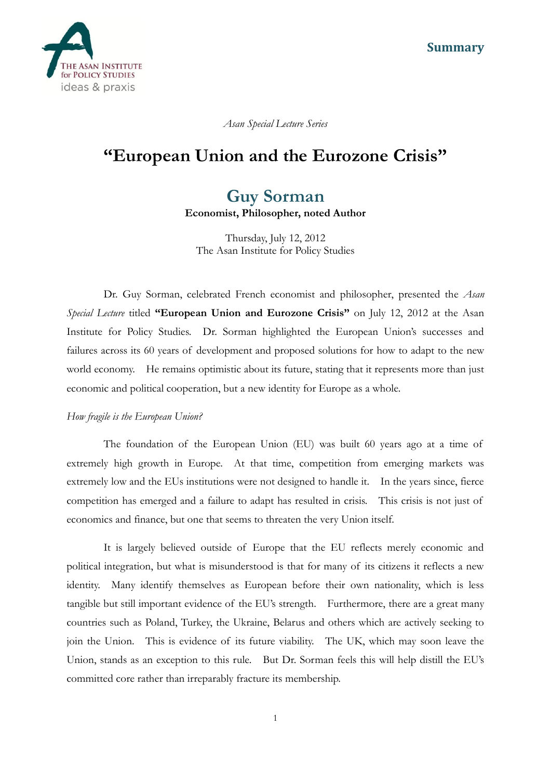

*Asan Special Lecture Series*

# **"European Union and the Eurozone Crisis"**

## **Guy Sorman**

**Economist, Philosopher, noted Author**

Thursday, July 12, 2012 The Asan Institute for Policy Studies

Dr. Guy Sorman, celebrated French economist and philosopher, presented the *Asan Special Lecture* titled **"European Union and Eurozone Crisis"** on July 12, 2012 at the Asan Institute for Policy Studies. Dr. Sorman highlighted the European Union's successes and failures across its 60 years of development and proposed solutions for how to adapt to the new world economy. He remains optimistic about its future, stating that it represents more than just economic and political cooperation, but a new identity for Europe as a whole.

#### *How fragile is the European Union?*

The foundation of the European Union (EU) was built 60 years ago at a time of extremely high growth in Europe. At that time, competition from emerging markets was extremely low and the EUs institutions were not designed to handle it. In the years since, fierce competition has emerged and a failure to adapt has resulted in crisis. This crisis is not just of economics and finance, but one that seems to threaten the very Union itself.

It is largely believed outside of Europe that the EU reflects merely economic and political integration, but what is misunderstood is that for many of its citizens it reflects a new identity. Many identify themselves as European before their own nationality, which is less tangible but still important evidence of the EU's strength. Furthermore, there are a great many countries such as Poland, Turkey, the Ukraine, Belarus and others which are actively seeking to join the Union. This is evidence of its future viability. The UK, which may soon leave the Union, stands as an exception to this rule. But Dr. Sorman feels this will help distill the EU's committed core rather than irreparably fracture its membership.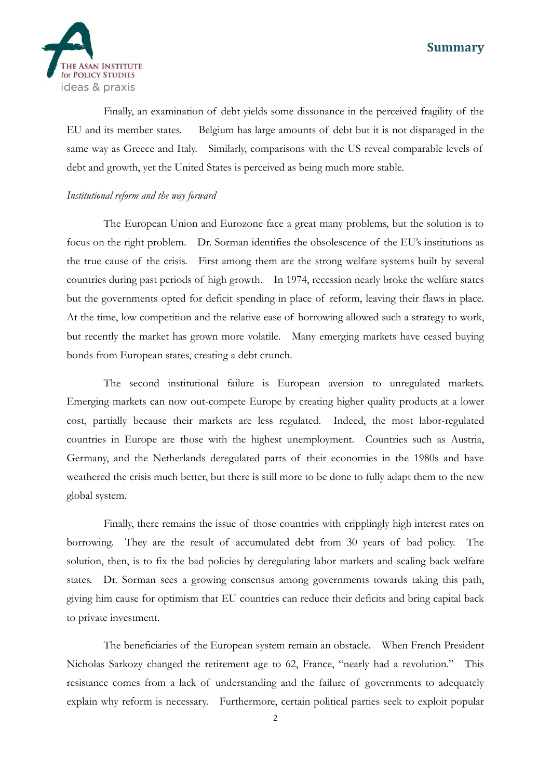## **Summary**



Finally, an examination of debt yields some dissonance in the perceived fragility of the EU and its member states. Belgium has large amounts of debt but it is not disparaged in the same way as Greece and Italy. Similarly, comparisons with the US reveal comparable levels of debt and growth, yet the United States is perceived as being much more stable.

## *Institutional reform and the way forward*

The European Union and Eurozone face a great many problems, but the solution is to focus on the right problem. Dr. Sorman identifies the obsolescence of the EU's institutions as the true cause of the crisis. First among them are the strong welfare systems built by several countries during past periods of high growth. In 1974, recession nearly broke the welfare states but the governments opted for deficit spending in place of reform, leaving their flaws in place. At the time, low competition and the relative ease of borrowing allowed such a strategy to work, but recently the market has grown more volatile. Many emerging markets have ceased buying bonds from European states, creating a debt crunch.

The second institutional failure is European aversion to unregulated markets. Emerging markets can now out-compete Europe by creating higher quality products at a lower cost, partially because their markets are less regulated. Indeed, the most labor-regulated countries in Europe are those with the highest unemployment. Countries such as Austria, Germany, and the Netherlands deregulated parts of their economies in the 1980s and have weathered the crisis much better, but there is still more to be done to fully adapt them to the new global system.

Finally, there remains the issue of those countries with cripplingly high interest rates on borrowing. They are the result of accumulated debt from 30 years of bad policy. The solution, then, is to fix the bad policies by deregulating labor markets and scaling back welfare states. Dr. Sorman sees a growing consensus among governments towards taking this path, giving him cause for optimism that EU countries can reduce their deficits and bring capital back to private investment.

The beneficiaries of the European system remain an obstacle. When French President Nicholas Sarkozy changed the retirement age to 62, France, "nearly had a revolution." This resistance comes from a lack of understanding and the failure of governments to adequately explain why reform is necessary. Furthermore, certain political parties seek to exploit popular